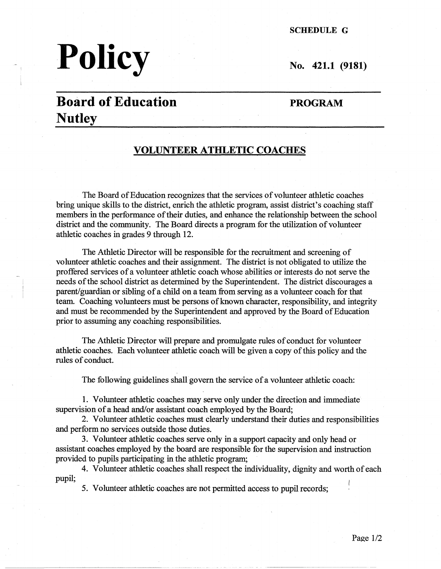#### **SCHEDULE G**

# **Policy** No. 421.1 (9181)

## **Board of Education Nutley**

#### **PROGRAM**

#### **VOLUNTEER ATHLETIC COACHES**

The Board of Education recognizes that the services of volunteer athletic coaches bring unique skills to the district, emich the athletic program, assist district's coaching staff members in the performance of their duties, and enhance the relationship between the school district and the community. The Board directs a program for the utilization of volunteer athletic coaches in grades 9 through 12.

The Athletic Director will be responsible for the recruitment and screening of volunteer athletic coaches and their assignment. The district is not obligated to utilize the proffered services of a volunteer athletic coach whose abilities or interests do not serve the needs of the school district as determined by the Superintendent. The district discourages a parent/guardian or sibling of a child on a team from serving as a volunteer coach for that team. Coaching volunteers must be persons of known character, responsibility, and integrity and must be recommended by the Superintendent and approved by the Board of Education prior to assuming any coaching responsibilities.

The Athletic Director will prepare and promulgate rules of conduct for volunteer athletic coaches. Each volunteer athletic coach will be given a copy of this policy and the rules of conduct.

The following guidelines shall govern the service of a volunteer athletic coach:

1. Volunteer athletic coaches may serve only under the direction and immediate supervision of a head and/or assistant coach employed by the Board;

2. Volunteer athletic coaches must clearly understand their duties and responsibilities and perform no services outside those duties.

3. Volunteer athletic coaches serve only in a support capacity and only head or assistant coaches employed by the board are responsible for the supervision and instruction provided to pupils participating in the athletic program;

4. Volunteer athletic coaches shall respect the individuality, dignity and worth of each pupil;<br> **5.** Volunteer athletic coaches are not permitted access to pupil records;